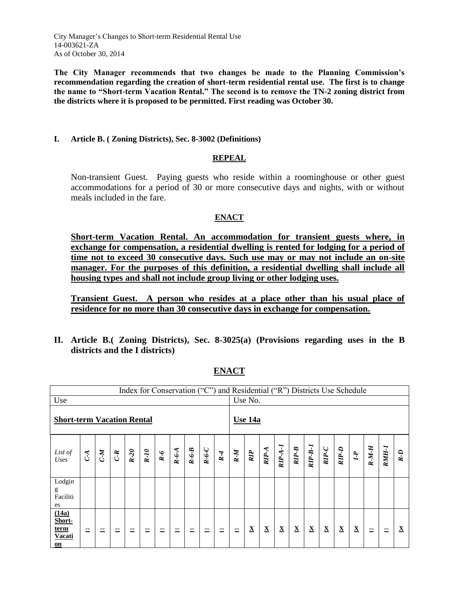City Manager's Changes to Short-term Residential Rental Use 14-003621-ZA As of October 30, 2014

**The City Manager recommends that two changes be made to the Planning Commission's recommendation regarding the creation of short-term residential rental use. The first is to change the name to "Short-term Vacation Rental." The second is to remove the TN-2 zoning district from the districts where it is proposed to be permitted. First reading was October 30.**

#### **I. Article B. ( Zoning Districts), Sec. 8-3002 (Definitions)**

#### **REPEAL**

Non-transient Guest. Paying guests who reside within a roominghouse or other guest accommodations for a period of 30 or more consecutive days and nights, with or without meals included in the fare.

#### **ENACT**

**Short-term Vacation Rental. An accommodation for transient guests where, in exchange for compensation, a residential dwelling is rented for lodging for a period of time not to exceed 30 consecutive days. Such use may or may not include an on-site manager. For the purposes of this definition, a residential dwelling shall include all housing types and shall not include group living or other lodging uses.**

**Transient Guest. A person who resides at a place other than his usual place of residence for no more than 30 consecutive days in exchange for compensation.**

**II. Article B.( Zoning Districts), Sec. 8-3025(a) (Provisions regarding uses in the B districts and the I districts)**

|                                                |                |       |       |        |       |       |         |         |                |         |         | Index for Conservation ("C") and Residential ("R") Districts Use Schedule |                          |                          |                          |                          |                          |             |                          |         |       |          |
|------------------------------------------------|----------------|-------|-------|--------|-------|-------|---------|---------|----------------|---------|---------|---------------------------------------------------------------------------|--------------------------|--------------------------|--------------------------|--------------------------|--------------------------|-------------|--------------------------|---------|-------|----------|
| Use                                            |                |       |       |        |       |       |         |         |                |         | Use No. |                                                                           |                          |                          |                          |                          |                          |             |                          |         |       |          |
| <b>Short-term Vacation Rental</b>              |                |       |       |        |       |       |         |         | <b>Use 14a</b> |         |         |                                                                           |                          |                          |                          |                          |                          |             |                          |         |       |          |
| List of<br>Uses                                | C <sub>A</sub> | $M^2$ | $C-R$ | $R-20$ | $R-I$ | $R-6$ | $R-6-A$ | $R-6-B$ | $R - 6 - C$    | $R - 4$ | $R-M$   | $\mathbb{R}P$                                                             | $RIP-A$                  | $RIP-A-I$                | $RIP-B$                  | $RIP-B-I$                | $RIP-C$                  | $RIP-D$     | $I-I$                    | $R-M-H$ | RMH-I | $R-D$    |
| Lodgin<br>g<br>Faciliti<br>es                  |                |       |       |        |       |       |         |         |                |         |         |                                                                           |                          |                          |                          |                          |                          |             |                          |         |       |          |
| (14a)<br>Short-<br>term<br><b>Vacati</b><br>on | --             | --    | --    | --     | --    |       | ۰.<br>۰ | --      | --             | 二       | 二       | $\underline{\mathbf{X}}$                                                  | $\underline{\mathbf{X}}$ | $\underline{\mathbf{X}}$ | $\underline{\mathbf{X}}$ | $\underline{\mathbf{X}}$ | $\underline{\mathbf{X}}$ | $\mathbf X$ | $\underline{\mathbf{X}}$ | --      |       | $\bf{X}$ |

**ENACT**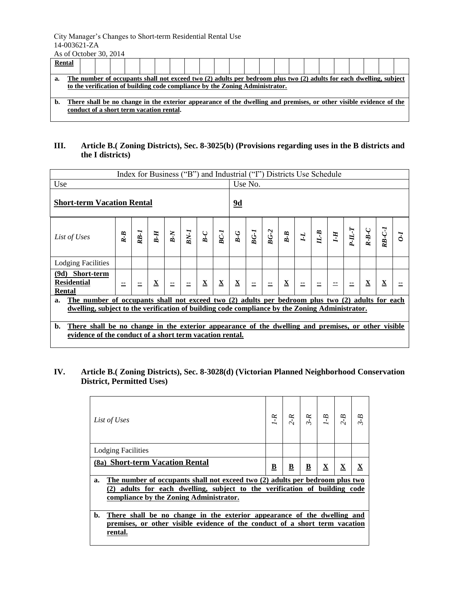### City Manager's Changes to Short-term Residential Rental Use 14-003621-ZA

As of October 30, 2014

| Rental |                                                                                                                                                                                                    |  |  |  |  |  |  |  |  |  |  |  |  |  |  |  |  |  |  |  |  |  |  |
|--------|----------------------------------------------------------------------------------------------------------------------------------------------------------------------------------------------------|--|--|--|--|--|--|--|--|--|--|--|--|--|--|--|--|--|--|--|--|--|--|
| a.     | The number of occupants shall not exceed two (2) adults per bedroom plus two (2) adults for each dwelling, subject<br>to the verification of building code compliance by the Zoning Administrator. |  |  |  |  |  |  |  |  |  |  |  |  |  |  |  |  |  |  |  |  |  |  |
| b.     | There shall be no change in the exterior appearance of the dwelling and premises, or other visible evidence of the<br>conduct of a short term vacation rental.                                     |  |  |  |  |  |  |  |  |  |  |  |  |  |  |  |  |  |  |  |  |  |  |

## **III. Article B.( Zoning Districts), Sec. 8-3025(b) (Provisions regarding uses in the B districts and the I districts)**

|                                                                                                                                                                                  | Index for Business ("B") and Industrial ("I") Districts Use Schedule |        |                          |                                                                                                                                                                                          |          |              |                          |                          |                   |        |         |              |  |                               |       |             |          |  |  |  |  |  |
|----------------------------------------------------------------------------------------------------------------------------------------------------------------------------------|----------------------------------------------------------------------|--------|--------------------------|------------------------------------------------------------------------------------------------------------------------------------------------------------------------------------------|----------|--------------|--------------------------|--------------------------|-------------------|--------|---------|--------------|--|-------------------------------|-------|-------------|----------|--|--|--|--|--|
| Use                                                                                                                                                                              |                                                                      |        |                          |                                                                                                                                                                                          |          |              |                          |                          |                   |        |         | Use No.      |  |                               |       |             |          |  |  |  |  |  |
| <b>Short-term Vacation Rental</b>                                                                                                                                                |                                                                      |        |                          |                                                                                                                                                                                          |          |              |                          | 9d                       |                   |        |         |              |  |                               |       |             |          |  |  |  |  |  |
| List of Uses                                                                                                                                                                     | $R - B$                                                              | $RB-I$ |                          | $\begin{array}{ c c } \hline \textbf{B}-\textbf{H} & \textbf{B} \ \hline \textbf{B} & \textbf{B} \ \hline \textbf{B} & \textbf{B} \ \hline \textbf{B} & \textbf{B} \ \hline \end{array}$ |          |              | $BC-I$                   |                          | $rac{B-G}{B G-I}$ | $BG-2$ | $B - B$ | $\mathbf{r}$ |  | $\frac{H \cdot B}{I \cdot H}$ | $T-T$ | $R - B - C$ | $RB-C-I$ |  |  |  |  |  |
| <b>Lodging Facilities</b>                                                                                                                                                        |                                                                      |        |                          |                                                                                                                                                                                          |          |              |                          |                          |                   |        |         |              |  |                               |       |             |          |  |  |  |  |  |
| (9d) Short-term<br><b>Residential</b><br>Rental                                                                                                                                  | --                                                                   |        | $\underline{\mathbf{X}}$ |                                                                                                                                                                                          | $\equiv$ | $\mathbf{X}$ | $\mathbf{\underline{X}}$ | $\mathbf{\underline{X}}$ | $\equiv$          |        | X       |              |  |                               |       | $\mathbf X$ | X        |  |  |  |  |  |
| The number of occupants shall not exceed two (2) adults per bedroom plus two (2) adults for each<br>$a_{\cdot}$                                                                  |                                                                      |        |                          |                                                                                                                                                                                          |          |              |                          |                          |                   |        |         |              |  |                               |       |             |          |  |  |  |  |  |
| dwelling, subject to the verification of building code compliance by the Zoning Administrator.                                                                                   |                                                                      |        |                          |                                                                                                                                                                                          |          |              |                          |                          |                   |        |         |              |  |                               |       |             |          |  |  |  |  |  |
| There shall be no change in the exterior appearance of the dwelling and premises, or other visible<br>$\mathbf{b}$ .<br>evidence of the conduct of a short term vacation rental. |                                                                      |        |                          |                                                                                                                                                                                          |          |              |                          |                          |                   |        |         |              |  |                               |       |             |          |  |  |  |  |  |

## **IV. Article B.( Zoning Districts), Sec. 8-3028(d) (Victorian Planned Neighborhood Conservation District, Permitted Uses)**

| List of Uses                                                                                                                                                                                            | $\overline{Y}$          |                         | $rac{2-R}{3-R}$ $rac{R}{1-B}$ |                          |                          |   |  |  |
|---------------------------------------------------------------------------------------------------------------------------------------------------------------------------------------------------------|-------------------------|-------------------------|-------------------------------|--------------------------|--------------------------|---|--|--|
| <b>Lodging Facilities</b>                                                                                                                                                                               |                         |                         |                               |                          |                          |   |  |  |
| (8a) Short-term Vacation Rental                                                                                                                                                                         | $\overline{\mathbf{B}}$ | $\overline{\mathbf{B}}$ | $\overline{\mathbf{B}}$       | $\underline{\mathbf{X}}$ | $\underline{\mathbf{X}}$ | X |  |  |
| The number of occupants shall not exceed two (2) adults per bedroom plus two<br>a.<br>adults for each dwelling, subject to the verification of building code<br>compliance by the Zoning Administrator. |                         |                         |                               |                          |                          |   |  |  |
| There shall be no change in the exterior appearance of the dwelling and<br>b.<br>premises, or other visible evidence of the conduct of a short term vacation<br>rental.                                 |                         |                         |                               |                          |                          |   |  |  |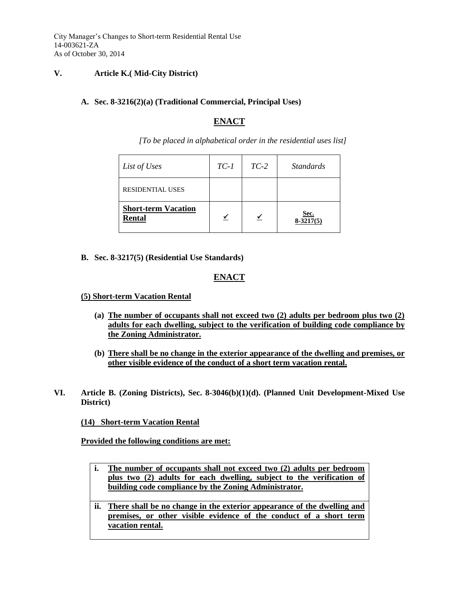City Manager's Changes to Short-term Residential Rental Use 14-003621-ZA As of October 30, 2014

#### **V. Article K.( Mid-City District)**

#### **A. Sec. 8-3216(2)(a) (Traditional Commercial, Principal Uses)**

## **ENACT**

*[To be placed in alphabetical order in the residential uses list]*

| List of Uses                                | $TC-1$ | $TC-2$ | <i>Standards</i>           |
|---------------------------------------------|--------|--------|----------------------------|
| <b>RESIDENTIAL USES</b>                     |        |        |                            |
| <b>Short-term Vacation</b><br><b>Rental</b> |        |        | <u>Sec.</u><br>$8-3217(5)$ |

**B. Sec. 8-3217(5) (Residential Use Standards)**

# **ENACT**

**(5) Short-term Vacation Rental**

- **(a) The number of occupants shall not exceed two (2) adults per bedroom plus two (2) adults for each dwelling, subject to the verification of building code compliance by the Zoning Administrator.**
- **(b) There shall be no change in the exterior appearance of the dwelling and premises, or other visible evidence of the conduct of a short term vacation rental.**
- **VI. Article B. (Zoning Districts), Sec. 8-3046(b)(1)(d). (Planned Unit Development-Mixed Use District)**

#### **(14) Short-term Vacation Rental**

**Provided the following conditions are met:**

- **i. The number of occupants shall not exceed two (2) adults per bedroom plus two (2) adults for each dwelling, subject to the verification of building code compliance by the Zoning Administrator.**
- **ii. There shall be no change in the exterior appearance of the dwelling and premises, or other visible evidence of the conduct of a short term vacation rental.**